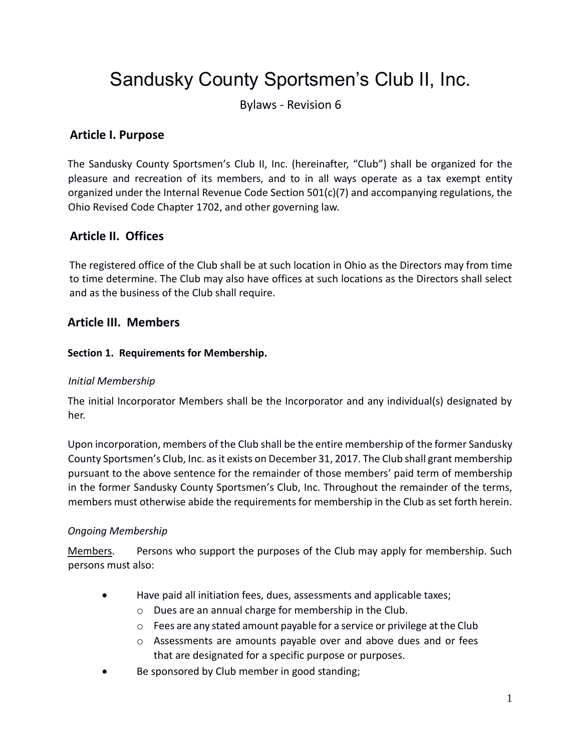# Sandusky County Sportsmen's Club II, Inc.

Bylaws - Revision 6

# **Article I. Purpose**

The Sandusky County Sportsmen's Club II, Inc. (hereinafter, "Club") shall be organized for the pleasure and recreation of its members, and to in all ways operate as a tax exempt entity organized under the Internal Revenue Code Section 501(c)(7) and accompanying regulations, the Ohio Revised Code Chapter 1702, and other governing law.

# **Article II. Offices**

The registered office of the Club shall be at such location in Ohio as the Directors may from time to time determine. The Club may also have offices at such locations as the Directors shall select and as the business of the Club shall require.

## **Article III. Members**

#### **Section 1. Requirements for Membership.**

#### *Initial Membership*

The initial Incorporator Members shall be the Incorporator and any individual(s) designated by her.

Upon incorporation, members of the Club shall be the entire membership of the former Sandusky County Sportsmen's Club, Inc. as it exists on December 31, 2017. The Club shall grant membership pursuant to the above sentence for the remainder of those members' paid term of membership in the former Sandusky County Sportsmen's Club, Inc. Throughout the remainder of the terms, members must otherwise abide the requirements for membership in the Club as set forth herein.

#### *Ongoing Membership*

Members. Persons who support the purposes of the Club may apply for membership. Such persons must also:

- Have paid all initiation fees, dues, assessments and applicable taxes;
	- o Dues are an annual charge for membership in the Club.
	- o Fees are any stated amount payable for a service or privilege at the Club
	- $\circ$  Assessments are amounts payable over and above dues and or fees that are designated for a specific purpose or purposes.
- Be sponsored by Club member in good standing;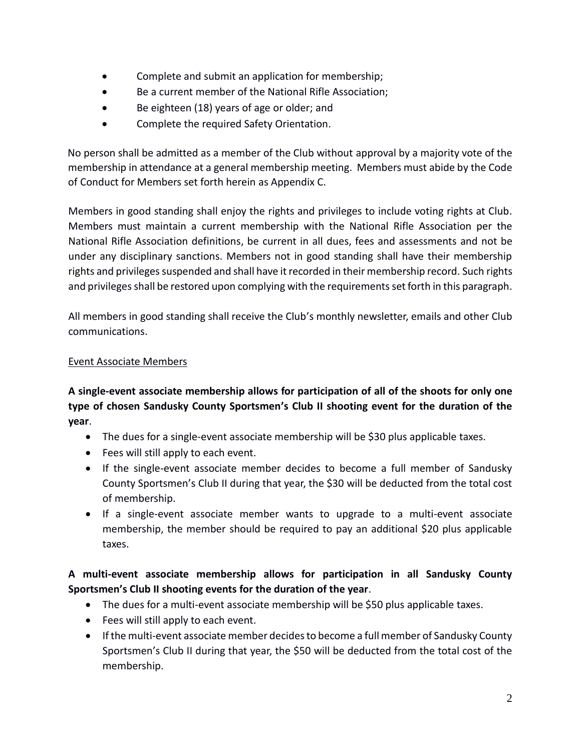- Complete and submit an application for membership;
- Be a current member of the National Rifle Association;
- Be eighteen (18) years of age or older; and
- Complete the required Safety Orientation.

No person shall be admitted as a member of the Club without approval by a majority vote of the membership in attendance at a general membership meeting. Members must abide by the Code of Conduct for Members set forth herein as Appendix C.

Members in good standing shall enjoy the rights and privileges to include voting rights at Club. Members must maintain a current membership with the National Rifle Association per the National Rifle Association definitions, be current in all dues, fees and assessments and not be under any disciplinary sanctions. Members not in good standing shall have their membership rights and privileges suspended and shall have it recorded in their membership record. Such rights and privileges shall be restored upon complying with the requirements set forth in this paragraph.

All members in good standing shall receive the Club's monthly newsletter, emails and other Club communications.

#### Event Associate Members

**A single-event associate membership allows for participation of all of the shoots for only one type of chosen Sandusky County Sportsmen's Club II shooting event for the duration of the year**.

- The dues for a single-event associate membership will be \$30 plus applicable taxes.
- Fees will still apply to each event.
- If the single-event associate member decides to become a full member of Sandusky County Sportsmen's Club II during that year, the \$30 will be deducted from the total cost of membership.
- If a single-event associate member wants to upgrade to a multi-event associate membership, the member should be required to pay an additional \$20 plus applicable taxes.

## **A multi-event associate membership allows for participation in all Sandusky County Sportsmen's Club II shooting events for the duration of the year**.

- The dues for a multi-event associate membership will be \$50 plus applicable taxes.
- Fees will still apply to each event.
- If the multi-event associate member decides to become a full member of Sandusky County Sportsmen's Club II during that year, the \$50 will be deducted from the total cost of the membership.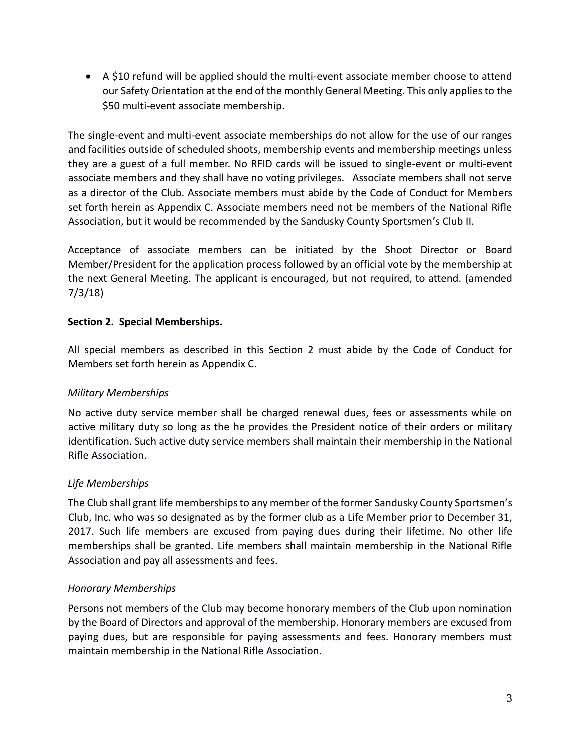A \$10 refund will be applied should the multi-event associate member choose to attend our Safety Orientation at the end of the monthly General Meeting. This only applies to the \$50 multi-event associate membership.

The single-event and multi-event associate memberships do not allow for the use of our ranges and facilities outside of scheduled shoots, membership events and membership meetings unless they are a guest of a full member. No RFID cards will be issued to single-event or multi-event associate members and they shall have no voting privileges. Associate members shall not serve as a director of the Club. Associate members must abide by the Code of Conduct for Members set forth herein as Appendix C. Associate members need not be members of the National Rifle Association, but it would be recommended by the Sandusky County Sportsmen's Club II.

Acceptance of associate members can be initiated by the Shoot Director or Board Member/President for the application process followed by an official vote by the membership at the next General Meeting. The applicant is encouraged, but not required, to attend. (amended 7/3/18)

#### **Section 2. Special Memberships.**

All special members as described in this Section 2 must abide by the Code of Conduct for Members set forth herein as Appendix C.

## *Military Memberships*

No active duty service member shall be charged renewal dues, fees or assessments while on active military duty so long as the he provides the President notice of their orders or military identification. Such active duty service members shall maintain their membership in the National Rifle Association.

## *Life Memberships*

The Club shall grant life memberships to any member of the former Sandusky County Sportsmen's Club, Inc. who was so designated as by the former club as a Life Member prior to December 31, 2017. Such life members are excused from paying dues during their lifetime. No other life memberships shall be granted. Life members shall maintain membership in the National Rifle Association and pay all assessments and fees.

## *Honorary Memberships*

Persons not members of the Club may become honorary members of the Club upon nomination by the Board of Directors and approval of the membership. Honorary members are excused from paying dues, but are responsible for paying assessments and fees. Honorary members must maintain membership in the National Rifle Association.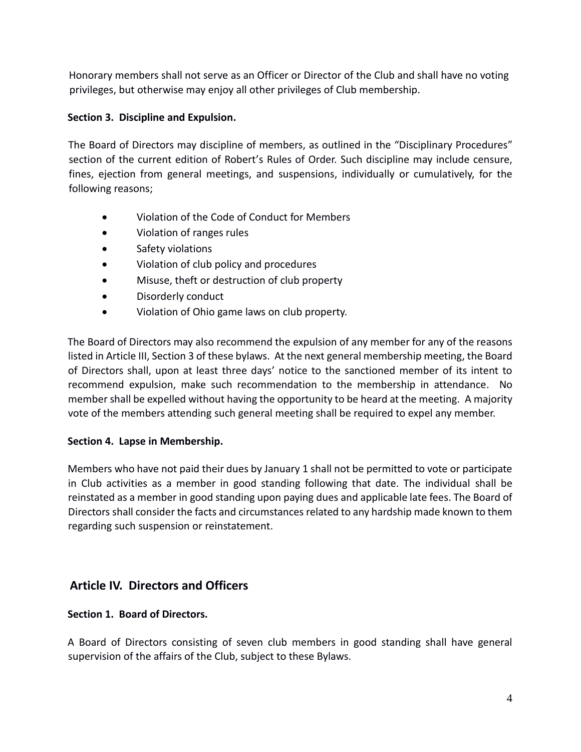Honorary members shall not serve as an Officer or Director of the Club and shall have no voting privileges, but otherwise may enjoy all other privileges of Club membership.

## **Section 3. Discipline and Expulsion.**

The Board of Directors may discipline of members, as outlined in the "Disciplinary Procedures" section of the current edition of Robert's Rules of Order. Such discipline may include censure, fines, ejection from general meetings, and suspensions, individually or cumulatively, for the following reasons;

- Violation of the Code of Conduct for Members
- Violation of ranges rules
- **•** Safety violations
- Violation of club policy and procedures
- Misuse, theft or destruction of club property
- Disorderly conduct
- Violation of Ohio game laws on club property.

The Board of Directors may also recommend the expulsion of any member for any of the reasons listed in Article III, Section 3 of these bylaws. At the next general membership meeting, the Board of Directors shall, upon at least three days' notice to the sanctioned member of its intent to recommend expulsion, make such recommendation to the membership in attendance. No member shall be expelled without having the opportunity to be heard at the meeting. A majority vote of the members attending such general meeting shall be required to expel any member.

#### **Section 4. Lapse in Membership.**

Members who have not paid their dues by January 1 shall not be permitted to vote or participate in Club activities as a member in good standing following that date. The individual shall be reinstated as a member in good standing upon paying dues and applicable late fees. The Board of Directors shall consider the facts and circumstances related to any hardship made known to them regarding such suspension or reinstatement.

# **Article IV. Directors and Officers**

## **Section 1. Board of Directors.**

A Board of Directors consisting of seven club members in good standing shall have general supervision of the affairs of the Club, subject to these Bylaws.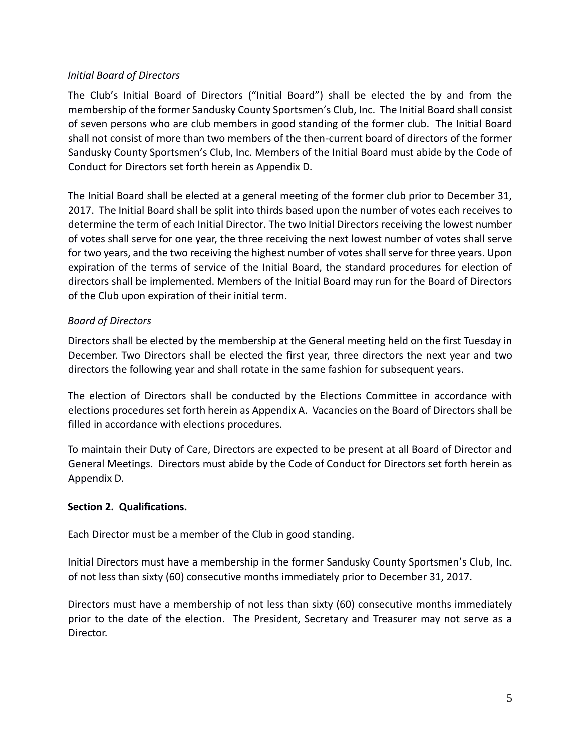## *Initial Board of Directors*

The Club's Initial Board of Directors ("Initial Board") shall be elected the by and from the membership of the former Sandusky County Sportsmen's Club, Inc. The Initial Board shall consist of seven persons who are club members in good standing of the former club. The Initial Board shall not consist of more than two members of the then-current board of directors of the former Sandusky County Sportsmen's Club, Inc. Members of the Initial Board must abide by the Code of Conduct for Directors set forth herein as Appendix D.

The Initial Board shall be elected at a general meeting of the former club prior to December 31, 2017. The Initial Board shall be split into thirds based upon the number of votes each receives to determine the term of each Initial Director. The two Initial Directors receiving the lowest number of votes shall serve for one year, the three receiving the next lowest number of votes shall serve for two years, and the two receiving the highest number of votes shall serve for three years. Upon expiration of the terms of service of the Initial Board, the standard procedures for election of directors shall be implemented. Members of the Initial Board may run for the Board of Directors of the Club upon expiration of their initial term.

## *Board of Directors*

Directors shall be elected by the membership at the General meeting held on the first Tuesday in December. Two Directors shall be elected the first year, three directors the next year and two directors the following year and shall rotate in the same fashion for subsequent years.

The election of Directors shall be conducted by the Elections Committee in accordance with elections procedures set forth herein as Appendix A. Vacancies on the Board of Directors shall be filled in accordance with elections procedures.

To maintain their Duty of Care, Directors are expected to be present at all Board of Director and General Meetings. Directors must abide by the Code of Conduct for Directors set forth herein as Appendix D.

#### **Section 2. Qualifications.**

Each Director must be a member of the Club in good standing.

Initial Directors must have a membership in the former Sandusky County Sportsmen's Club, Inc. of not less than sixty (60) consecutive months immediately prior to December 31, 2017.

Directors must have a membership of not less than sixty (60) consecutive months immediately prior to the date of the election. The President, Secretary and Treasurer may not serve as a Director.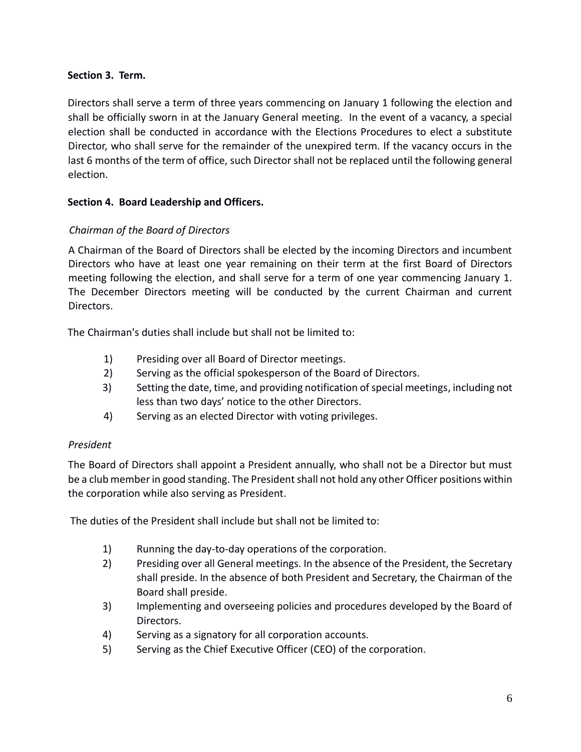#### **Section 3. Term.**

Directors shall serve a term of three years commencing on January 1 following the election and shall be officially sworn in at the January General meeting. In the event of a vacancy, a special election shall be conducted in accordance with the Elections Procedures to elect a substitute Director, who shall serve for the remainder of the unexpired term. If the vacancy occurs in the last 6 months of the term of office, such Director shall not be replaced until the following general election.

#### **Section 4. Board Leadership and Officers.**

#### *Chairman of the Board of Directors*

A Chairman of the Board of Directors shall be elected by the incoming Directors and incumbent Directors who have at least one year remaining on their term at the first Board of Directors meeting following the election, and shall serve for a term of one year commencing January 1. The December Directors meeting will be conducted by the current Chairman and current Directors.

The Chairman's duties shall include but shall not be limited to:

- 1) Presiding over all Board of Director meetings.
- 2) Serving as the official spokesperson of the Board of Directors.
- 3) Setting the date, time, and providing notification of special meetings, including not less than two days' notice to the other Directors.
- 4) Serving as an elected Director with voting privileges.

#### *President*

The Board of Directors shall appoint a President annually, who shall not be a Director but must be a club member in good standing. The President shall not hold any other Officer positions within the corporation while also serving as President.

The duties of the President shall include but shall not be limited to:

- 1) Running the day-to-day operations of the corporation.
- 2) Presiding over all General meetings. In the absence of the President, the Secretary shall preside. In the absence of both President and Secretary, the Chairman of the Board shall preside.
- 3) Implementing and overseeing policies and procedures developed by the Board of Directors.
- 4) Serving as a signatory for all corporation accounts.
- 5) Serving as the Chief Executive Officer (CEO) of the corporation.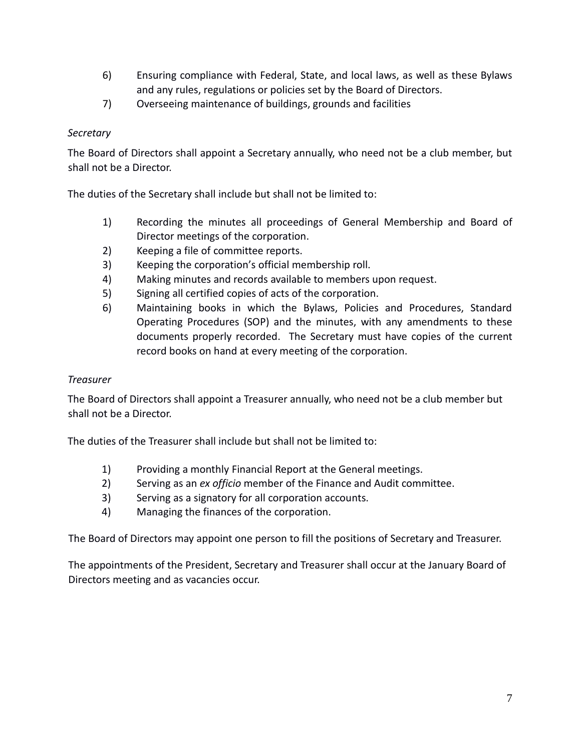- 6) Ensuring compliance with Federal, State, and local laws, as well as these Bylaws and any rules, regulations or policies set by the Board of Directors.
- 7) Overseeing maintenance of buildings, grounds and facilities

#### *Secretary*

The Board of Directors shall appoint a Secretary annually, who need not be a club member, but shall not be a Director.

The duties of the Secretary shall include but shall not be limited to:

- 1) Recording the minutes all proceedings of General Membership and Board of Director meetings of the corporation.
- 2) Keeping a file of committee reports.
- 3) Keeping the corporation's official membership roll.
- 4) Making minutes and records available to members upon request.
- 5) Signing all certified copies of acts of the corporation.
- 6) Maintaining books in which the Bylaws, Policies and Procedures, Standard Operating Procedures (SOP) and the minutes, with any amendments to these documents properly recorded. The Secretary must have copies of the current record books on hand at every meeting of the corporation.

#### *Treasurer*

The Board of Directors shall appoint a Treasurer annually, who need not be a club member but shall not be a Director.

The duties of the Treasurer shall include but shall not be limited to:

- 1) Providing a monthly Financial Report at the General meetings.
- 2) Serving as an *ex officio* member of the Finance and Audit committee.
- 3) Serving as a signatory for all corporation accounts.
- 4) Managing the finances of the corporation.

The Board of Directors may appoint one person to fill the positions of Secretary and Treasurer.

The appointments of the President, Secretary and Treasurer shall occur at the January Board of Directors meeting and as vacancies occur.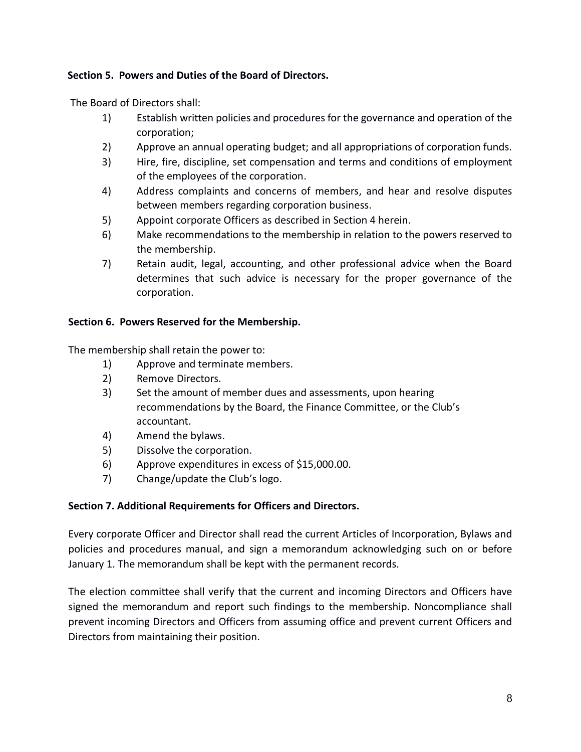#### **Section 5. Powers and Duties of the Board of Directors.**

The Board of Directors shall:

- 1) Establish written policies and procedures for the governance and operation of the corporation;
- 2) Approve an annual operating budget; and all appropriations of corporation funds.
- 3) Hire, fire, discipline, set compensation and terms and conditions of employment of the employees of the corporation.
- 4) Address complaints and concerns of members, and hear and resolve disputes between members regarding corporation business.
- 5) Appoint corporate Officers as described in Section 4 herein.
- 6) Make recommendations to the membership in relation to the powers reserved to the membership.
- 7) Retain audit, legal, accounting, and other professional advice when the Board determines that such advice is necessary for the proper governance of the corporation.

#### **Section 6. Powers Reserved for the Membership.**

The membership shall retain the power to:

- 1) Approve and terminate members.
- 2) Remove Directors.
- 3) Set the amount of member dues and assessments, upon hearing recommendations by the Board, the Finance Committee, or the Club's accountant.
- 4) Amend the bylaws.
- 5) Dissolve the corporation.
- 6) Approve expenditures in excess of \$15,000.00.
- 7) Change/update the Club's logo.

#### **Section 7. Additional Requirements for Officers and Directors.**

Every corporate Officer and Director shall read the current Articles of Incorporation, Bylaws and policies and procedures manual, and sign a memorandum acknowledging such on or before January 1. The memorandum shall be kept with the permanent records.

The election committee shall verify that the current and incoming Directors and Officers have signed the memorandum and report such findings to the membership. Noncompliance shall prevent incoming Directors and Officers from assuming office and prevent current Officers and Directors from maintaining their position.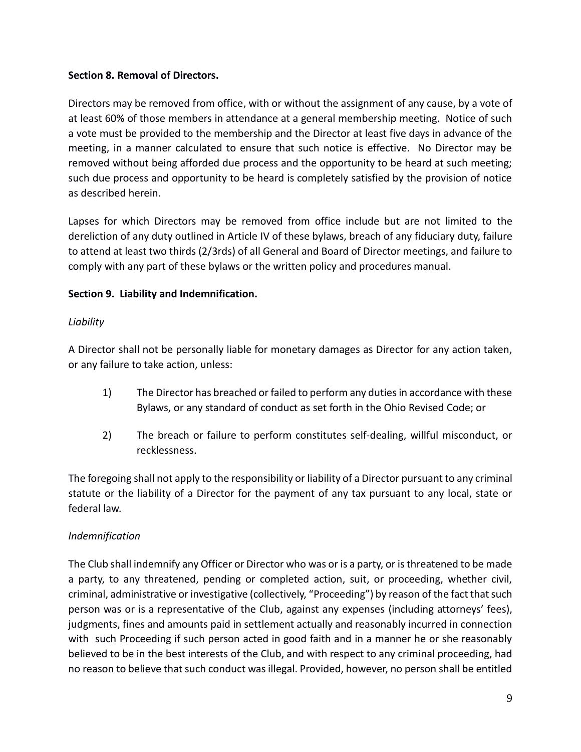#### **Section 8. Removal of Directors.**

Directors may be removed from office, with or without the assignment of any cause, by a vote of at least 60% of those members in attendance at a general membership meeting. Notice of such a vote must be provided to the membership and the Director at least five days in advance of the meeting, in a manner calculated to ensure that such notice is effective. No Director may be removed without being afforded due process and the opportunity to be heard at such meeting; such due process and opportunity to be heard is completely satisfied by the provision of notice as described herein.

Lapses for which Directors may be removed from office include but are not limited to the dereliction of any duty outlined in Article IV of these bylaws, breach of any fiduciary duty, failure to attend at least two thirds (2/3rds) of all General and Board of Director meetings, and failure to comply with any part of these bylaws or the written policy and procedures manual.

## **Section 9. Liability and Indemnification.**

## *Liability*

A Director shall not be personally liable for monetary damages as Director for any action taken, or any failure to take action, unless:

- 1) The Director has breached or failed to perform any duties in accordance with these Bylaws, or any standard of conduct as set forth in the Ohio Revised Code; or
- 2) The breach or failure to perform constitutes self-dealing, willful misconduct, or recklessness.

The foregoing shall not apply to the responsibility or liability of a Director pursuant to any criminal statute or the liability of a Director for the payment of any tax pursuant to any local, state or federal law.

## *Indemnification*

The Club shall indemnify any Officer or Director who was or is a party, or is threatened to be made a party, to any threatened, pending or completed action, suit, or proceeding, whether civil, criminal, administrative or investigative (collectively, "Proceeding") by reason of the fact that such person was or is a representative of the Club, against any expenses (including attorneys' fees), judgments, fines and amounts paid in settlement actually and reasonably incurred in connection with such Proceeding if such person acted in good faith and in a manner he or she reasonably believed to be in the best interests of the Club, and with respect to any criminal proceeding, had no reason to believe that such conduct was illegal. Provided, however, no person shall be entitled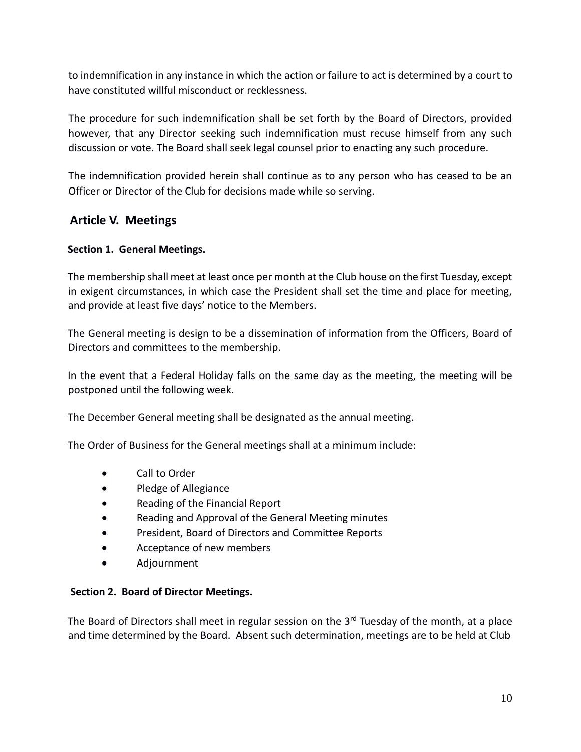to indemnification in any instance in which the action or failure to act is determined by a court to have constituted willful misconduct or recklessness.

The procedure for such indemnification shall be set forth by the Board of Directors, provided however, that any Director seeking such indemnification must recuse himself from any such discussion or vote. The Board shall seek legal counsel prior to enacting any such procedure.

The indemnification provided herein shall continue as to any person who has ceased to be an Officer or Director of the Club for decisions made while so serving.

## **Article V. Meetings**

#### **Section 1. General Meetings.**

The membership shall meet at least once per month at the Club house on the first Tuesday, except in exigent circumstances, in which case the President shall set the time and place for meeting, and provide at least five days' notice to the Members.

The General meeting is design to be a dissemination of information from the Officers, Board of Directors and committees to the membership.

In the event that a Federal Holiday falls on the same day as the meeting, the meeting will be postponed until the following week.

The December General meeting shall be designated as the annual meeting.

The Order of Business for the General meetings shall at a minimum include:

- Call to Order
- Pledge of Allegiance
- Reading of the Financial Report
- Reading and Approval of the General Meeting minutes
- President, Board of Directors and Committee Reports
- Acceptance of new members
- Adjournment

#### **Section 2. Board of Director Meetings.**

The Board of Directors shall meet in regular session on the  $3<sup>rd</sup>$  Tuesday of the month, at a place and time determined by the Board. Absent such determination, meetings are to be held at Club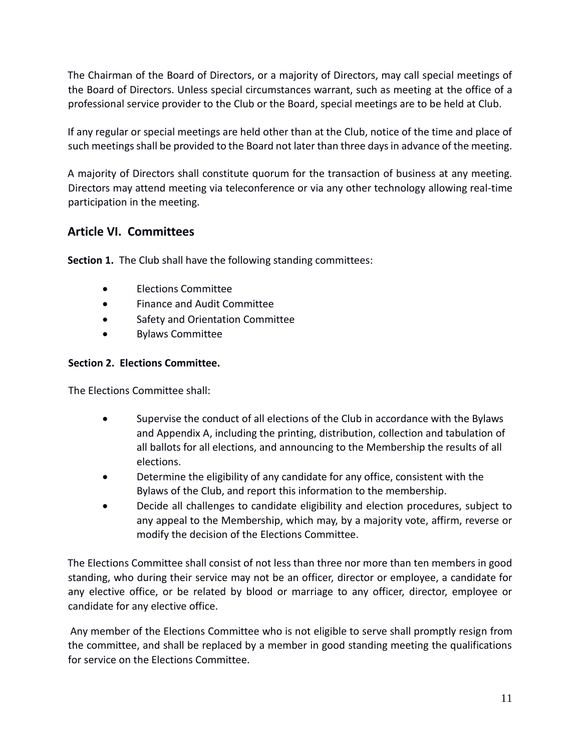The Chairman of the Board of Directors, or a majority of Directors, may call special meetings of the Board of Directors. Unless special circumstances warrant, such as meeting at the office of a professional service provider to the Club or the Board, special meetings are to be held at Club.

If any regular or special meetings are held other than at the Club, notice of the time and place of such meetings shall be provided to the Board not later than three days in advance of the meeting.

A majority of Directors shall constitute quorum for the transaction of business at any meeting. Directors may attend meeting via teleconference or via any other technology allowing real-time participation in the meeting.

# **Article VI. Committees**

**Section 1.** The Club shall have the following standing committees:

- Elections Committee
- Finance and Audit Committee
- **•** Safety and Orientation Committee
- Bylaws Committee

## **Section 2. Elections Committee.**

The Elections Committee shall:

- Supervise the conduct of all elections of the Club in accordance with the Bylaws and Appendix A, including the printing, distribution, collection and tabulation of all ballots for all elections, and announcing to the Membership the results of all elections.
- Determine the eligibility of any candidate for any office, consistent with the Bylaws of the Club, and report this information to the membership.
- Decide all challenges to candidate eligibility and election procedures, subject to any appeal to the Membership, which may, by a majority vote, affirm, reverse or modify the decision of the Elections Committee.

The Elections Committee shall consist of not less than three nor more than ten members in good standing, who during their service may not be an officer, director or employee, a candidate for any elective office, or be related by blood or marriage to any officer, director, employee or candidate for any elective office.

Any member of the Elections Committee who is not eligible to serve shall promptly resign from the committee, and shall be replaced by a member in good standing meeting the qualifications for service on the Elections Committee.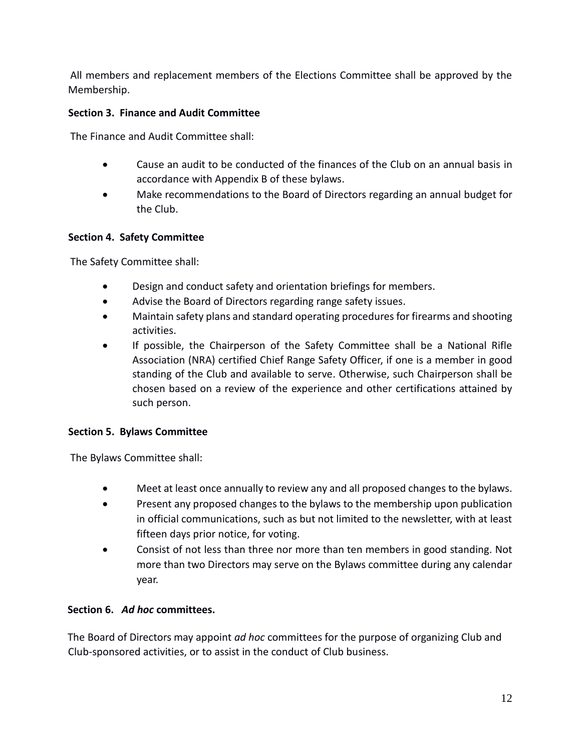All members and replacement members of the Elections Committee shall be approved by the Membership.

## **Section 3. Finance and Audit Committee**

The Finance and Audit Committee shall:

- Cause an audit to be conducted of the finances of the Club on an annual basis in accordance with Appendix B of these bylaws.
- Make recommendations to the Board of Directors regarding an annual budget for the Club.

#### **Section 4. Safety Committee**

The Safety Committee shall:

- Design and conduct safety and orientation briefings for members.
- Advise the Board of Directors regarding range safety issues.
- Maintain safety plans and standard operating procedures for firearms and shooting activities.
- If possible, the Chairperson of the Safety Committee shall be a National Rifle Association (NRA) certified Chief Range Safety Officer, if one is a member in good standing of the Club and available to serve. Otherwise, such Chairperson shall be chosen based on a review of the experience and other certifications attained by such person.

#### **Section 5. Bylaws Committee**

The Bylaws Committee shall:

- Meet at least once annually to review any and all proposed changes to the bylaws.
- Present any proposed changes to the bylaws to the membership upon publication in official communications, such as but not limited to the newsletter, with at least fifteen days prior notice, for voting.
- Consist of not less than three nor more than ten members in good standing. Not more than two Directors may serve on the Bylaws committee during any calendar year.

## **Section 6.** *Ad hoc* **committees.**

The Board of Directors may appoint *ad hoc* committees for the purpose of organizing Club and Club-sponsored activities, or to assist in the conduct of Club business.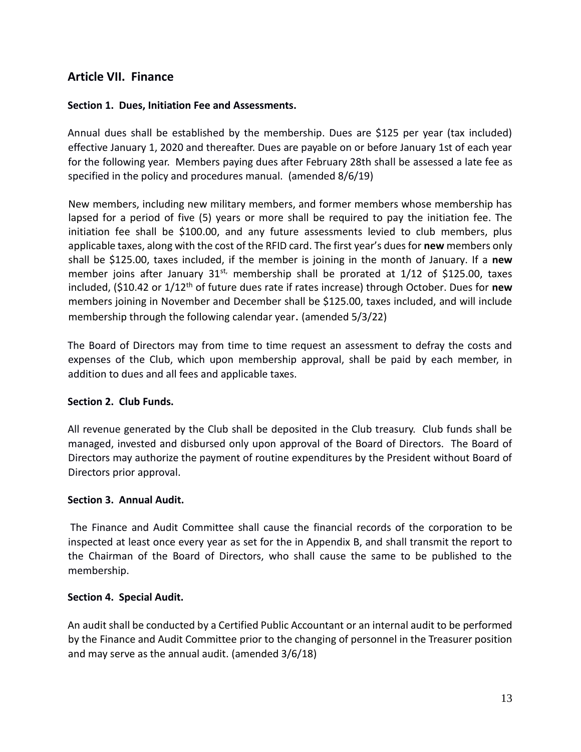# **Article VII. Finance**

#### **Section 1. Dues, Initiation Fee and Assessments.**

Annual dues shall be established by the membership. Dues are \$125 per year (tax included) effective January 1, 2020 and thereafter. Dues are payable on or before January 1st of each year for the following year. Members paying dues after February 28th shall be assessed a late fee as specified in the policy and procedures manual. (amended 8/6/19)

New members, including new military members, and former members whose membership has lapsed for a period of five (5) years or more shall be required to pay the initiation fee. The initiation fee shall be \$100.00, and any future assessments levied to club members, plus applicable taxes, along with the cost of the RFID card. The first year's dues for **new** members only shall be \$125.00, taxes included, if the member is joining in the month of January. If a **new** member joins after January  $31^{st}$ , membership shall be prorated at  $1/12$  of \$125.00, taxes included, (\$10.42 or 1/12th of future dues rate if rates increase) through October. Dues for **new** members joining in November and December shall be \$125.00, taxes included, and will include membership through the following calendar year. (amended 5/3/22)

The Board of Directors may from time to time request an assessment to defray the costs and expenses of the Club, which upon membership approval, shall be paid by each member, in addition to dues and all fees and applicable taxes.

#### **Section 2. Club Funds.**

All revenue generated by the Club shall be deposited in the Club treasury. Club funds shall be managed, invested and disbursed only upon approval of the Board of Directors. The Board of Directors may authorize the payment of routine expenditures by the President without Board of Directors prior approval.

#### **Section 3. Annual Audit.**

The Finance and Audit Committee shall cause the financial records of the corporation to be inspected at least once every year as set for the in Appendix B, and shall transmit the report to the Chairman of the Board of Directors, who shall cause the same to be published to the membership.

#### **Section 4. Special Audit.**

An audit shall be conducted by a Certified Public Accountant or an internal audit to be performed by the Finance and Audit Committee prior to the changing of personnel in the Treasurer position and may serve as the annual audit. (amended 3/6/18)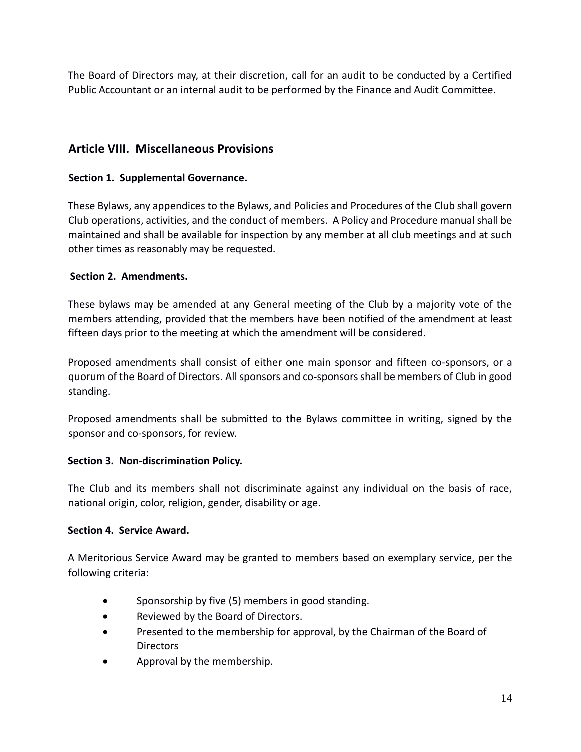The Board of Directors may, at their discretion, call for an audit to be conducted by a Certified Public Accountant or an internal audit to be performed by the Finance and Audit Committee.

## **Article VIII. Miscellaneous Provisions**

## **Section 1. Supplemental Governance.**

These Bylaws, any appendices to the Bylaws, and Policies and Procedures of the Club shall govern Club operations, activities, and the conduct of members. A Policy and Procedure manual shall be maintained and shall be available for inspection by any member at all club meetings and at such other times as reasonably may be requested.

#### **Section 2. Amendments.**

These bylaws may be amended at any General meeting of the Club by a majority vote of the members attending, provided that the members have been notified of the amendment at least fifteen days prior to the meeting at which the amendment will be considered.

Proposed amendments shall consist of either one main sponsor and fifteen co-sponsors, or a quorum of the Board of Directors. All sponsors and co-sponsors shall be members of Club in good standing.

Proposed amendments shall be submitted to the Bylaws committee in writing, signed by the sponsor and co-sponsors, for review.

#### **Section 3. Non-discrimination Policy.**

The Club and its members shall not discriminate against any individual on the basis of race, national origin, color, religion, gender, disability or age.

#### **Section 4. Service Award.**

A Meritorious Service Award may be granted to members based on exemplary service, per the following criteria:

- Sponsorship by five (5) members in good standing.
- Reviewed by the Board of Directors.
- **•** Presented to the membership for approval, by the Chairman of the Board of Directors
- Approval by the membership.